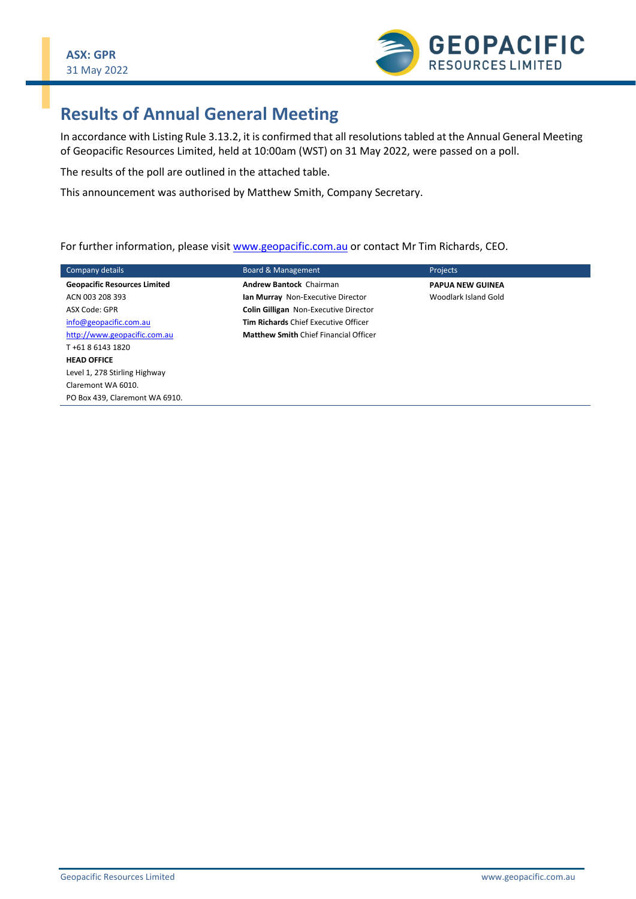

## **Results of Annual General Meeting**

In accordance with Listing Rule 3.13.2, it is confirmed that all resolutions tabled at the Annual General Meeting of Geopacific Resources Limited, held at 10:00am (WST) on 31 May 2022, were passed on a poll.

The results of the poll are outlined in the attached table.

This announcement was authorised by Matthew Smith, Company Secretary.

For further information, please visit [www.geopacific.com.au](http://www.geopacific.com.au/) or contact Mr Tim Richards, CEO.

| Company details                     | Board & Management                           | <b>Projects</b>         |
|-------------------------------------|----------------------------------------------|-------------------------|
| <b>Geopacific Resources Limited</b> | <b>Andrew Bantock Chairman</b>               | <b>PAPUA NEW GUINEA</b> |
| ACN 003 208 393                     | Ian Murray Non-Executive Director            | Woodlark Island Gold    |
| ASX Code: GPR                       | <b>Colin Gilligan</b> Non-Executive Director |                         |
| info@geopacific.com.au              | <b>Tim Richards Chief Executive Officer</b>  |                         |
| http://www.geopacific.com.au        | <b>Matthew Smith Chief Financial Officer</b> |                         |
| T+61 8 6143 1820                    |                                              |                         |
| <b>HEAD OFFICE</b>                  |                                              |                         |
| Level 1, 278 Stirling Highway       |                                              |                         |
| Claremont WA 6010.                  |                                              |                         |
| PO Box 439. Claremont WA 6910.      |                                              |                         |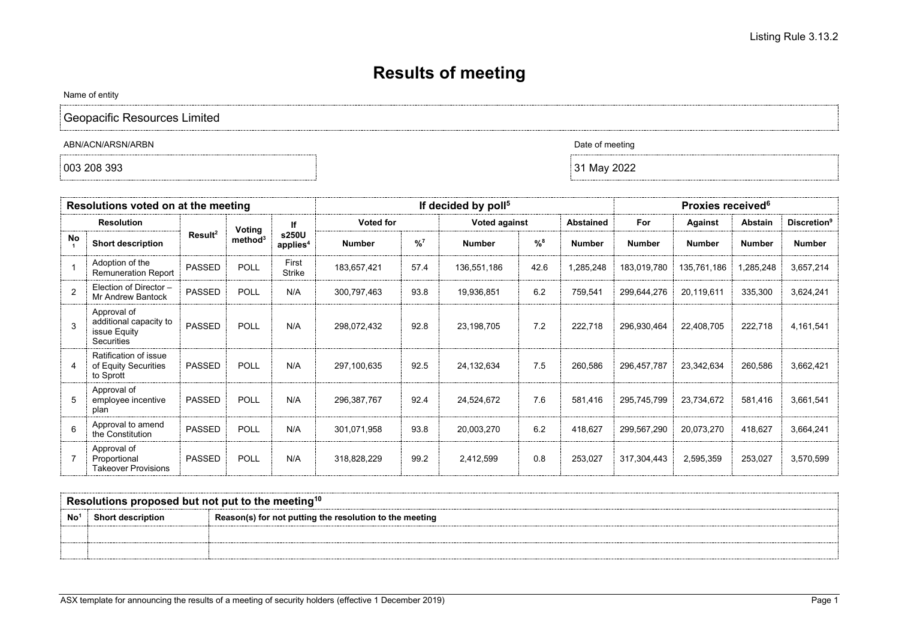## **Results of meeting**

Name of entity

Geopacific Resources Limited

ABN/ACN/ARSN/ARBN Date of meeting

| Resolutions voted on at the meeting |                                                                            |                     | If decided by poll <sup>5</sup> |                               |               | <b>Proxies received</b> <sup>6</sup> |               |                  |               |               |               |                                |               |
|-------------------------------------|----------------------------------------------------------------------------|---------------------|---------------------------------|-------------------------------|---------------|--------------------------------------|---------------|------------------|---------------|---------------|---------------|--------------------------------|---------------|
| <b>Resolution</b>                   |                                                                            | Voting              | If                              | Voted for                     |               | <b>Voted against</b>                 |               | <b>Abstained</b> | For           | Against       | Abstain       | <b>Discretion</b> <sup>9</sup> |               |
| <b>No</b>                           | <b>Short description</b>                                                   | Result <sup>2</sup> | method <sup>3</sup>             | s250U<br>applies <sup>4</sup> | <b>Number</b> | $^{9}/_{0}$ <sup>7</sup>             | <b>Number</b> | %8               | <b>Number</b> | <b>Number</b> | <b>Number</b> | <b>Number</b>                  | <b>Number</b> |
|                                     | Adoption of the<br><b>Remuneration Report</b>                              | <b>PASSED</b>       | <b>POLL</b>                     | First<br>Strike               | 183,657,421   | 57.4                                 | 136,551,186   | 42.6             | 1,285,248     | 183,019,780   | 135,761,186   | 1,285,248                      | 3,657,214     |
| $\mathcal{P}$                       | Election of Director -<br><b>Mr Andrew Bantock</b>                         | <b>PASSED</b>       | <b>POLL</b>                     | N/A                           | 300,797,463   | 93.8                                 | 19,936,851    | 6.2              | 759,541       | 299,644,276   | 20,119,611    | 335,300                        | 3,624,241     |
| 3                                   | Approval of<br>additional capacity to<br>issue Equity<br><b>Securities</b> | PASSED              | <b>POLL</b>                     | N/A                           | 298,072,432   | 92.8                                 | 23,198,705    | 7.2              | 222,718       | 296,930,464   | 22,408,705    | 222,718                        | 4,161,541     |
| 4                                   | Ratification of issue<br>of Equity Securities<br>to Sprott                 | <b>PASSED</b>       | <b>POLL</b>                     | N/A                           | 297,100,635   | 92.5                                 | 24,132,634    | 7.5              | 260,586       | 296,457,787   | 23,342,634    | 260,586                        | 3,662,421     |
| 5                                   | Approval of<br>employee incentive<br>plan                                  | <b>PASSED</b>       | <b>POLL</b>                     | N/A                           | 296,387,767   | 92.4                                 | 24,524,672    | 7.6              | 581,416       | 295,745,799   | 23,734,672    | 581,416                        | 3,661,541     |
| $\epsilon$                          | Approval to amend<br>the Constitution                                      | <b>PASSED</b>       | <b>POLL</b>                     | N/A                           | 301,071,958   | 93.8                                 | 20,003,270    | 6.2              | 418,627       | 299,567,290   | 20,073,270    | 418,627                        | 3,664,241     |
|                                     | Approval of<br>Proportional<br><b>Takeover Provisions</b>                  | <b>PASSED</b>       | <b>POLL</b>                     | N/A                           | 318,828,229   | 99.2                                 | 2,412,599     | 0.8              | 253,027       | 317,304,443   | 2,595,359     | 253,027                        | 3,570,599     |

| Resolutions proposed but not put to the meeting <sup>10</sup> |                          |                                                         |  |  |  |  |  |
|---------------------------------------------------------------|--------------------------|---------------------------------------------------------|--|--|--|--|--|
| No                                                            | <b>Short description</b> | Reason(s) for not putting the resolution to the meeting |  |  |  |  |  |
|                                                               |                          |                                                         |  |  |  |  |  |
|                                                               |                          |                                                         |  |  |  |  |  |

 $\big| 003\ 208\ 393$   $\big| 31\ \text{May}\ 2022$